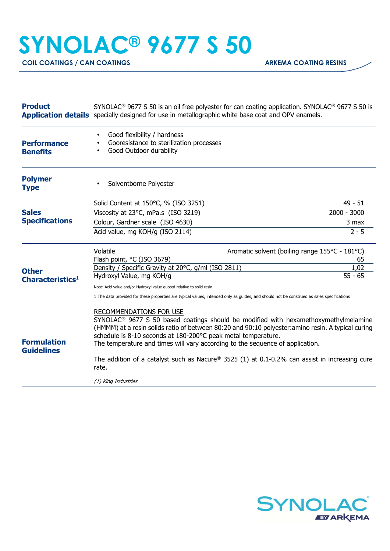## **SYNOLAC® 9677 S 50**

**COIL COATINGS / CAN COATINGS ARKEMA COATING RESINS** 

| <b>Product</b>                               | SYNOLAC <sup>®</sup> 9677 S 50 is an oil free polyester for can coating application. SYNOLAC <sup>®</sup> 9677 S 50 is<br>Application details specially designed for use in metallographic white base coat and OPV enamels. |                                                                                                                                                                                                       |
|----------------------------------------------|-----------------------------------------------------------------------------------------------------------------------------------------------------------------------------------------------------------------------------|-------------------------------------------------------------------------------------------------------------------------------------------------------------------------------------------------------|
| <b>Performance</b><br><b>Benefits</b>        | Good flexibility / hardness<br>Gooresistance to sterilization processes<br>Good Outdoor durability<br>$\bullet$                                                                                                             |                                                                                                                                                                                                       |
| <b>Polymer</b><br><b>Type</b>                | Solventborne Polyester                                                                                                                                                                                                      |                                                                                                                                                                                                       |
|                                              | Solid Content at 150°C, % (ISO 3251)                                                                                                                                                                                        | $49 - 51$                                                                                                                                                                                             |
| <b>Sales</b><br><b>Specifications</b>        | Viscosity at 23°C, mPa.s (ISO 3219)                                                                                                                                                                                         | 2000 - 3000                                                                                                                                                                                           |
|                                              | Colour, Gardner scale (ISO 4630)                                                                                                                                                                                            | 3 max                                                                                                                                                                                                 |
|                                              | Acid value, mg KOH/g (ISO 2114)                                                                                                                                                                                             | $2 - 5$                                                                                                                                                                                               |
| <b>Other</b><br>Characteristics <sup>1</sup> | Volatile                                                                                                                                                                                                                    | Aromatic solvent (boiling range 155°C - 181°C)                                                                                                                                                        |
|                                              | Flash point, °C (ISO 3679)                                                                                                                                                                                                  | 65                                                                                                                                                                                                    |
|                                              | Density / Specific Gravity at 20°C, g/ml (ISO 2811)<br>Hydroxyl Value, mg KOH/g                                                                                                                                             | 1,02<br>$55 - 65$                                                                                                                                                                                     |
|                                              |                                                                                                                                                                                                                             |                                                                                                                                                                                                       |
|                                              | Note: Acid value and/or Hydroxyl value quoted relative to solid resin<br>1 The data provided for these properties are typical values, intended only as guides, and should not be construed as sales specifications          |                                                                                                                                                                                                       |
| <b>Formulation</b><br><b>Guidelines</b>      | RECOMMENDATIONS FOR USE<br>schedule is 8-10 seconds at 180-200°C peak metal temperature.<br>The temperature and times will vary according to the sequence of application.                                                   | SYNOLAC <sup>®</sup> 9677 S 50 based coatings should be modified with hexamethoxymethylmelamine<br>(HMMM) at a resin solids ratio of between 80:20 and 90:10 polyester: amino resin. A typical curing |
|                                              | The addition of a catalyst such as Nacure® 3525 (1) at 0.1-0.2% can assist in increasing cure<br>rate.                                                                                                                      |                                                                                                                                                                                                       |
|                                              | (1) King Industries                                                                                                                                                                                                         |                                                                                                                                                                                                       |
|                                              |                                                                                                                                                                                                                             |                                                                                                                                                                                                       |